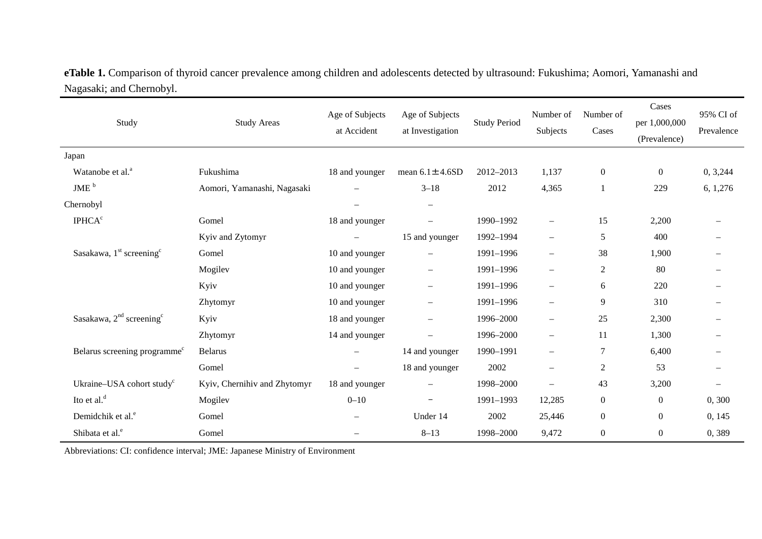| eTable 1. Comparison of thyroid cancer prevalence among children and adolescents detected by ultrasound: Fukushima; Aomori, Yamanashi and |  |
|-------------------------------------------------------------------------------------------------------------------------------------------|--|
| Nagasaki; and Chernobyl.                                                                                                                  |  |

| Study                                    | <b>Study Areas</b>           | Age of Subjects<br>at Accident | Age of Subjects<br>at Investigation | <b>Study Period</b> | Number of<br>Subjects    | Number of<br>Cases | Cases<br>per 1,000,000<br>(Prevalence) | 95% CI of<br>Prevalence  |
|------------------------------------------|------------------------------|--------------------------------|-------------------------------------|---------------------|--------------------------|--------------------|----------------------------------------|--------------------------|
| Japan                                    |                              |                                |                                     |                     |                          |                    |                                        |                          |
| Watanobe et al. <sup>a</sup>             | Fukushima                    | 18 and younger                 | mean $6.1 \pm 4.6SD$                | 2012-2013           | 1,137                    | $\boldsymbol{0}$   | $\boldsymbol{0}$                       | 0, 3,244                 |
| JME <sup>b</sup>                         | Aomori, Yamanashi, Nagasaki  | $\overline{\phantom{0}}$       | $3 - 18$                            | 2012                | 4,365                    | $\mathbf{1}$       | 229                                    | 6, 1,276                 |
| Chernobyl                                |                              |                                | $\qquad \qquad -$                   |                     |                          |                    |                                        |                          |
| <b>IPHCA<sup>c</sup></b>                 | Gomel                        | 18 and younger                 | $\overbrace{\phantom{1232211}}$     | 1990-1992           | $\overline{\phantom{0}}$ | 15                 | 2,200                                  |                          |
|                                          | Kyiv and Zytomyr             |                                | 15 and younger                      | 1992-1994           | $\overline{\phantom{0}}$ | 5                  | 400                                    |                          |
| Sasakawa, $1st$ screening <sup>c</sup>   | Gomel                        | 10 and younger                 | $\overline{\phantom{m}}$            | 1991-1996           | $\overline{\phantom{0}}$ | 38                 | 1,900                                  |                          |
|                                          | Mogilev                      | 10 and younger                 | $\overline{\phantom{0}}$            | 1991-1996           | $\overline{\phantom{0}}$ | $\boldsymbol{2}$   | 80                                     |                          |
|                                          | Kyiv                         | 10 and younger                 | $\overline{\phantom{m}}$            | 1991-1996           | $\overline{\phantom{0}}$ | 6                  | 220                                    |                          |
|                                          | Zhytomyr                     | 10 and younger                 | $\overline{\phantom{0}}$            | 1991-1996           | $\overline{\phantom{0}}$ | 9                  | 310                                    |                          |
| Sasakawa, $2nd$ screening <sup>c</sup>   | Kyiv                         | 18 and younger                 | $\overline{\phantom{m}}$            | 1996-2000           | $\overline{\phantom{0}}$ | 25                 | 2,300                                  |                          |
|                                          | Zhytomyr                     | 14 and younger                 |                                     | 1996-2000           | $\overline{\phantom{m}}$ | 11                 | 1,300                                  |                          |
| Belarus screening programme <sup>c</sup> | <b>Belarus</b>               |                                | 14 and younger                      | 1990-1991           |                          | $\tau$             | 6,400                                  |                          |
|                                          | Gomel                        | $\qquad \qquad -$              | 18 and younger                      | 2002                |                          | $\overline{2}$     | 53                                     |                          |
| Ukraine-USA cohort study <sup>c</sup>    | Kyiv, Chernihiv and Zhytomyr | 18 and younger                 | $\overline{\phantom{m}}$            | 1998-2000           | $\overline{\phantom{0}}$ | 43                 | 3,200                                  | $\overline{\phantom{0}}$ |
| Ito et al. <sup>d</sup>                  | Mogilev                      | $0 - 10$                       | $\overline{\phantom{m}}$            | 1991-1993           | 12,285                   | $\boldsymbol{0}$   | $\boldsymbol{0}$                       | 0,300                    |
| Demidchik et al. <sup>e</sup>            | Gomel                        |                                | Under 14                            | 2002                | 25,446                   | $\boldsymbol{0}$   | $\overline{0}$                         | 0, 145                   |
| Shibata et al. <sup>e</sup>              | Gomel                        | $\overline{\phantom{0}}$       | $8 - 13$                            | 1998-2000           | 9,472                    | $\boldsymbol{0}$   | $\boldsymbol{0}$                       | 0,389                    |

Abbreviations: CI: confidence interval; JME: Japanese Ministry of Environment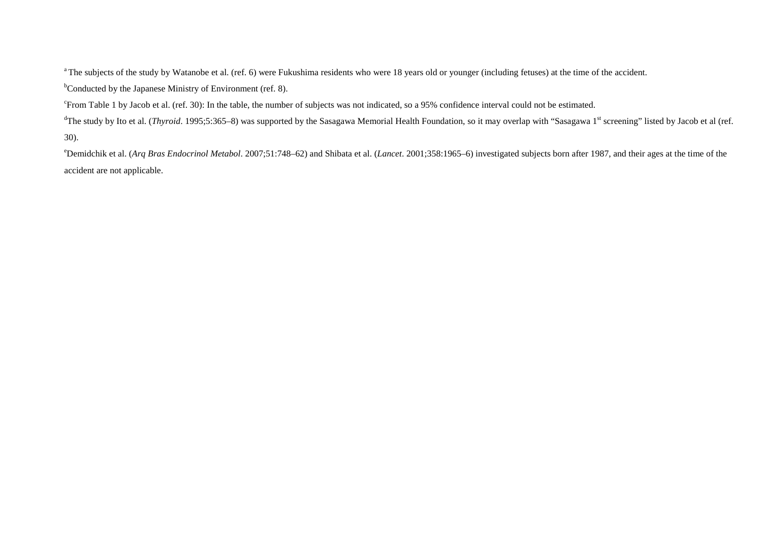<sup>a</sup> The subjects of the study by Watanobe et al. (ref. 6) were Fukushima residents who were 18 years old or younger (including fetuses) at the time of the accident.

<sup>b</sup>Conducted by the Japanese Ministry of Environment (ref. 8).

<sup>c</sup>From Table 1 by Jacob et al. (ref. 30): In the table, the number of subjects was not indicated, so a 95% confidence interval could not be estimated.

<sup>d</sup>The study by Ito et al. (*Thyroid*. 1995;5:365–8) was supported by the Sasagawa Memorial Health Foundation, so it may overlap with "Sasagawa 1<sup>st</sup> screening" listed by Jacob et al (ref. 30).

e Demidchik et al. (*Arq Bras Endocrinol Metabol*. 2007;51:748–62) and Shibata et al. (*Lancet*. 2001;358:1965–6) investigated subjects born after 1987, and their ages at the time of the accident are not applicable.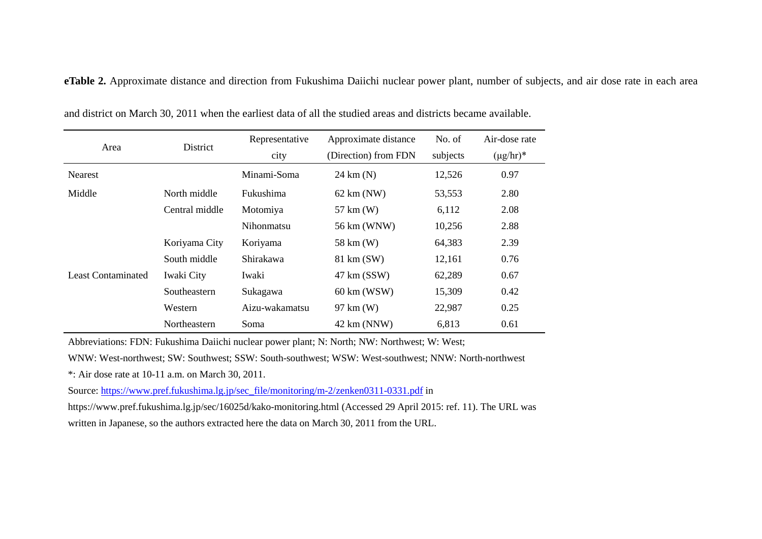**eTable 2.** Approximate distance and direction from Fukushima Daiichi nuclear power plant, number of subjects, and air dose rate in each area

|                           |                | Representative    | Approximate distance | No. of   | Air-dose rate  |
|---------------------------|----------------|-------------------|----------------------|----------|----------------|
| Area                      | District       | city              | (Direction) from FDN | subjects | $(\mu g/hr)^*$ |
| <b>Nearest</b>            |                | Minami-Soma       | $24 \text{ km}$ (N)  | 12,526   | 0.97           |
| Middle                    | North middle   | Fukushima         | $62 \text{ km}$ (NW) | 53,553   | 2.80           |
|                           | Central middle | Motomiya          | 57 km (W)            | 6,112    | 2.08           |
|                           |                | <b>Nihonmatsu</b> | 56 km (WNW)          | 10,256   | 2.88           |
|                           | Koriyama City  | Koriyama          | 58 km (W)            | 64,383   | 2.39           |
|                           | South middle   | Shirakawa         | 81 km (SW)           | 12,161   | 0.76           |
| <b>Least Contaminated</b> | Iwaki City     | Iwaki             | 47 km (SSW)          | 62,289   | 0.67           |
|                           | Southeastern   | Sukagawa          | 60 km (WSW)          | 15,309   | 0.42           |
|                           | Western        | Aizu-wakamatsu    | 97 km (W)            | 22,987   | 0.25           |
|                           | Northeastern   | Soma              | 42 km (NNW)          | 6,813    | 0.61           |

and district on March 30, 2011 when the earliest data of all the studied areas and districts became available.

Abbreviations: FDN: Fukushima Daiichi nuclear power plant; N: North; NW: Northwest; W: West;

WNW: West-northwest; SW: Southwest; SSW: South-southwest; WSW: West-southwest; NNW: North-northwest

\*: Air dose rate at 10-11 a.m. on March 30, 2011.

Source: [https://www.pref.fukushima.lg.jp/sec\\_file/monitoring/m-2/zenken0311-0331.pdf](https://www.pref.fukushima.lg.jp/sec_file/monitoring/m-2/zenken0311-0331.pdf) in

https://www.pref.fukushima.lg.jp/sec/16025d/kako-monitoring.html (Accessed 29 April 2015: ref. 11). The URL was written in Japanese, so the authors extracted here the data on March 30, 2011 from the URL.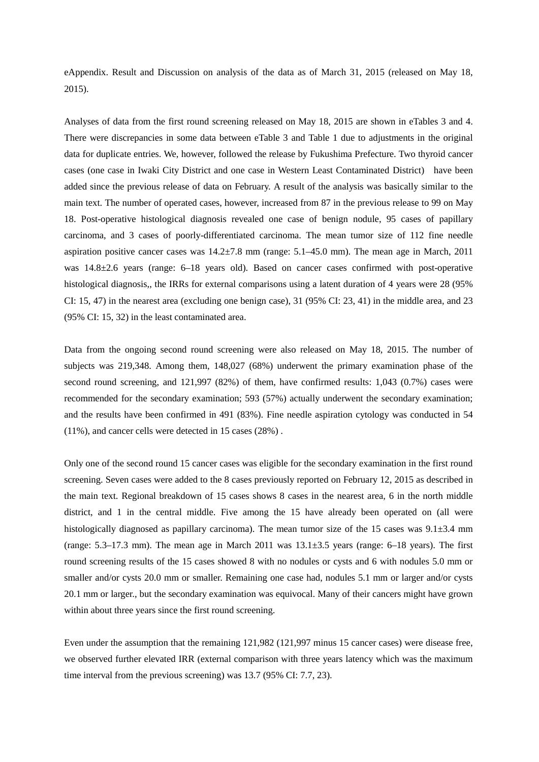eAppendix. Result and Discussion on analysis of the data as of March 31, 2015 (released on May 18, 2015).

Analyses of data from the first round screening released on May 18, 2015 are shown in eTables 3 and 4. There were discrepancies in some data between eTable 3 and Table 1 due to adjustments in the original data for duplicate entries. We, however, followed the release by Fukushima Prefecture. Two thyroid cancer cases (one case in Iwaki City District and one case in Western Least Contaminated District) have been added since the previous release of data on February. A result of the analysis was basically similar to the main text. The number of operated cases, however, increased from 87 in the previous release to 99 on May 18. Post-operative histological diagnosis revealed one case of benign nodule, 95 cases of papillary carcinoma, and 3 cases of poorly-differentiated carcinoma. The mean tumor size of 112 fine needle aspiration positive cancer cases was  $14.2 \pm 7.8$  mm (range:  $5.1 - 45.0$  mm). The mean age in March, 2011 was 14.8±2.6 years (range: 6–18 years old). Based on cancer cases confirmed with post-operative histological diagnosis,, the IRRs for external comparisons using a latent duration of 4 years were 28 (95%) CI: 15, 47) in the nearest area (excluding one benign case), 31 (95% CI: 23, 41) in the middle area, and 23 (95% CI: 15, 32) in the least contaminated area.

Data from the ongoing second round screening were also released on May 18, 2015. The number of subjects was 219,348. Among them, 148,027 (68%) underwent the primary examination phase of the second round screening, and 121,997 (82%) of them, have confirmed results: 1,043 (0.7%) cases were recommended for the secondary examination; 593 (57%) actually underwent the secondary examination; and the results have been confirmed in 491 (83%). Fine needle aspiration cytology was conducted in 54 (11%), and cancer cells were detected in 15 cases (28%) .

Only one of the second round 15 cancer cases was eligible for the secondary examination in the first round screening. Seven cases were added to the 8 cases previously reported on February 12, 2015 as described in the main text. Regional breakdown of 15 cases shows 8 cases in the nearest area, 6 in the north middle district, and 1 in the central middle. Five among the 15 have already been operated on (all were histologically diagnosed as papillary carcinoma). The mean tumor size of the 15 cases was  $9.1\pm3.4$  mm (range: 5.3–17.3 mm). The mean age in March 2011 was 13.1±3.5 years (range: 6–18 years). The first round screening results of the 15 cases showed 8 with no nodules or cysts and 6 with nodules 5.0 mm or smaller and/or cysts 20.0 mm or smaller. Remaining one case had, nodules 5.1 mm or larger and/or cysts 20.1 mm or larger., but the secondary examination was equivocal. Many of their cancers might have grown within about three years since the first round screening.

Even under the assumption that the remaining 121,982 (121,997 minus 15 cancer cases) were disease free, we observed further elevated IRR (external comparison with three years latency which was the maximum time interval from the previous screening) was 13.7 (95% CI: 7.7, 23).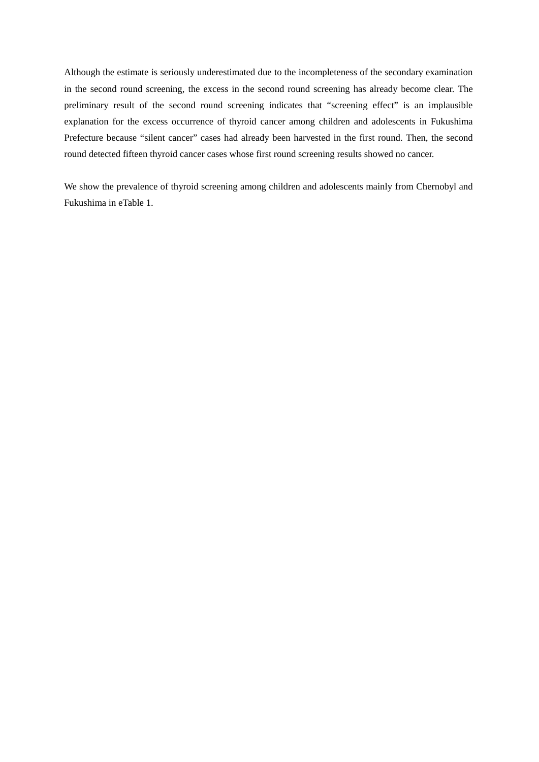Although the estimate is seriously underestimated due to the incompleteness of the secondary examination in the second round screening, the excess in the second round screening has already become clear. The preliminary result of the second round screening indicates that "screening effect" is an implausible explanation for the excess occurrence of thyroid cancer among children and adolescents in Fukushima Prefecture because "silent cancer" cases had already been harvested in the first round. Then, the second round detected fifteen thyroid cancer cases whose first round screening results showed no cancer.

We show the prevalence of thyroid screening among children and adolescents mainly from Chernobyl and Fukushima in eTable 1.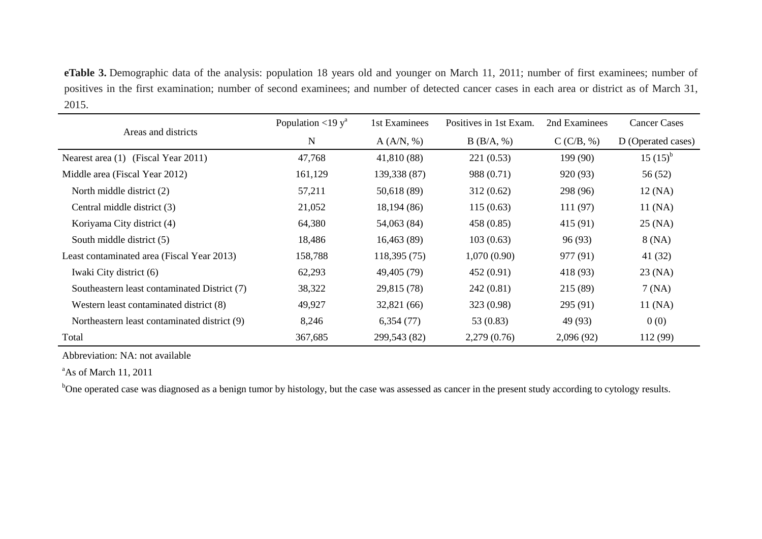**eTable 3.** Demographic data of the analysis: population 18 years old and younger on March 11, 2011; number of first examinees; number of positives in the first examination; number of second examinees; and number of detected cancer cases in each area or district as of March 31, 2015.

|                                              | Population <19 $y^a$ | 1st Examinees | Positives in 1st Exam. | 2nd Examinees | <b>Cancer Cases</b> |
|----------------------------------------------|----------------------|---------------|------------------------|---------------|---------------------|
| Areas and districts                          | N                    | A (A/N, %)    | B(B/A, %)              | C(C/B, %)     | D (Operated cases)  |
| Nearest area (1) (Fiscal Year 2011)          | 47,768               | 41,810 (88)   | 221(0.53)              | 199(90)       | $15(15)^{b}$        |
| Middle area (Fiscal Year 2012)               | 161,129              | 139,338 (87)  | 988 (0.71)             | 920 (93)      | 56 (52)             |
| North middle district (2)                    | 57,211               | 50,618 (89)   | 312(0.62)              | 298 (96)      | 12 (NA)             |
| Central middle district (3)                  | 21,052               | 18,194(86)    | 115(0.63)              | 111(97)       | 11 (NA)             |
| Koriyama City district (4)                   | 64,380               | 54,063 (84)   | 458 (0.85)             | 415 (91)      | $25$ (NA)           |
| South middle district (5)                    | 18,486               | 16,463(89)    | 103(0.63)              | 96(93)        | 8 (NA)              |
| Least contaminated area (Fiscal Year 2013)   | 158,788              | 118,395 (75)  | 1,070(0.90)            | 977 (91)      | 41 (32)             |
| Iwaki City district (6)                      | 62,293               | 49,405 (79)   | 452(0.91)              | 418 (93)      | $23$ (NA)           |
| Southeastern least contaminated District (7) | 38,322               | 29,815 (78)   | 242(0.81)              | 215(89)       | 7(NA)               |
| Western least contaminated district (8)      | 49,927               | 32,821 (66)   | 323 (0.98)             | 295 (91)      | 11 (NA)             |
| Northeastern least contaminated district (9) | 8,246                | 6,354(77)     | 53 $(0.83)$            | 49 (93)       | 0(0)                |
| Total                                        | 367,685              | 299,543 (82)  | 2,279(0.76)            | 2,096(92)     | 112 (99)            |

Abbreviation: NA: not available

<sup>a</sup>As of March 11, 2011

<sup>b</sup>One operated case was diagnosed as a benign tumor by histology, but the case was assessed as cancer in the present study according to cytology results.